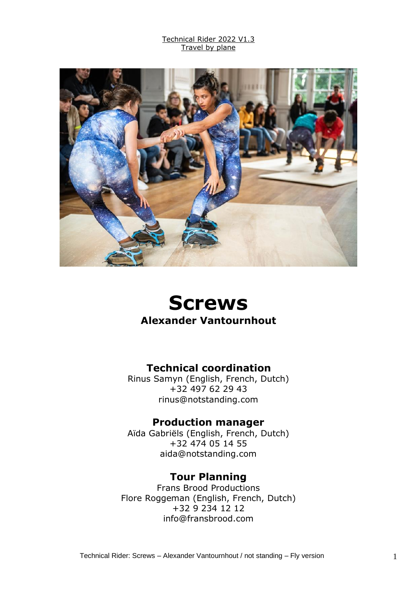

# **Screws Alexander Vantournhout**

### **Technical coordination**

Rinus Samyn (English, French, Dutch) +32 497 62 29 43 rinus@notstanding.com

#### **Production manager**

Aïda Gabriëls (English, French, Dutch) +32 474 05 14 55 aida@notstanding.com

#### **Tour Planning**

Frans Brood Productions Flore Roggeman (English, French, Dutch) +32 9 234 12 12 info@fransbrood.com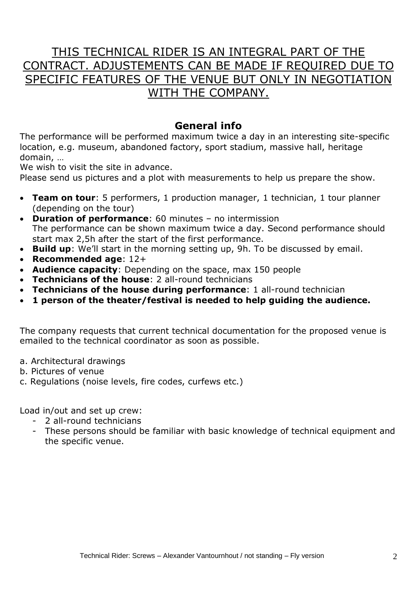# THIS TECHNICAL RIDER IS AN INTEGRAL PART OF THE CONTRACT. ADJUSTEMENTS CAN BE MADE IF REQUIRED DUE TO SPECIFIC FEATURES OF THE VENUE BUT ONLY IN NEGOTIATION WITH THE COMPANY.

#### **General info**

The performance will be performed maximum twice a day in an interesting site-specific location, e.g. museum, abandoned factory, sport stadium, massive hall, heritage domain, …

We wish to visit the site in advance.

Please send us pictures and a plot with measurements to help us prepare the show.

- **Team on tour**: 5 performers, 1 production manager, 1 technician, 1 tour planner (depending on the tour)
- **Duration of performance**: 60 minutes no intermission The performance can be shown maximum twice a day. Second performance should start max 2,5h after the start of the first performance.
- **Build up**: We'll start in the morning setting up, 9h. To be discussed by email.
- **Recommended age**: 12+
- **Audience capacity**: Depending on the space, max 150 people
- **Technicians of the house**: 2 all-round technicians
- **Technicians of the house during performance**: 1 all-round technician
- **1 person of the theater/festival is needed to help guiding the audience.**

The company requests that current technical documentation for the proposed venue is emailed to the technical coordinator as soon as possible.

- a. Architectural drawings
- b. Pictures of venue
- c. Regulations (noise levels, fire codes, curfews etc.)

Load in/out and set up crew:

- 2 all-round technicians
- These persons should be familiar with basic knowledge of technical equipment and the specific venue.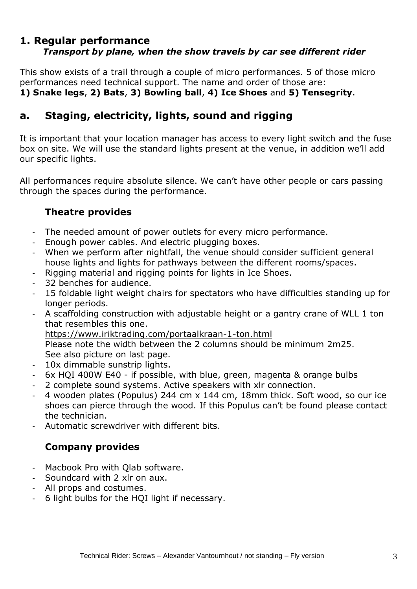#### **1. Regular performance** *Transport by plane, when the show travels by car see different rider*

This show exists of a trail through a couple of micro performances. 5 of those micro performances need technical support. The name and order of those are: **1) Snake legs**, **2) Bats**, **3) Bowling ball**, **4) Ice Shoes** and **5) Tensegrity**.

### **a. Staging, electricity, lights, sound and rigging**

It is important that your location manager has access to every light switch and the fuse box on site. We will use the standard lights present at the venue, in addition we'll add our specific lights.

All performances require absolute silence. We can't have other people or cars passing through the spaces during the performance.

#### **Theatre provides**

- The needed amount of power outlets for every micro performance.
- Enough power cables. And electric plugging boxes.
- When we perform after nightfall, the venue should consider sufficient general house lights and lights for pathways between the different rooms/spaces.
- Rigging material and rigging points for lights in Ice Shoes.
- 32 benches for audience.
- 15 foldable light weight chairs for spectators who have difficulties standing up for longer periods.
- A scaffolding construction with adjustable height or a gantry crane of WLL 1 ton that resembles this one.

<https://www.iriktrading.com/portaalkraan-1-ton.html>

Please note the width between the 2 columns should be minimum 2m25. See also picture on last page.

- 10x dimmable sunstrip lights.
- 6x HQI 400W E40 if possible, with blue, green, magenta & orange bulbs
- 2 complete sound systems. Active speakers with xlr connection.
- 4 wooden plates (Populus) 244 cm x 144 cm, 18mm thick. Soft wood, so our ice shoes can pierce through the wood. If this Populus can't be found please contact the technician.
- Automatic screwdriver with different bits.

#### **Company provides**

- Macbook Pro with Olab software.
- Soundcard with 2 xlr on aux.
- All props and costumes.
- 6 light bulbs for the HQI light if necessary.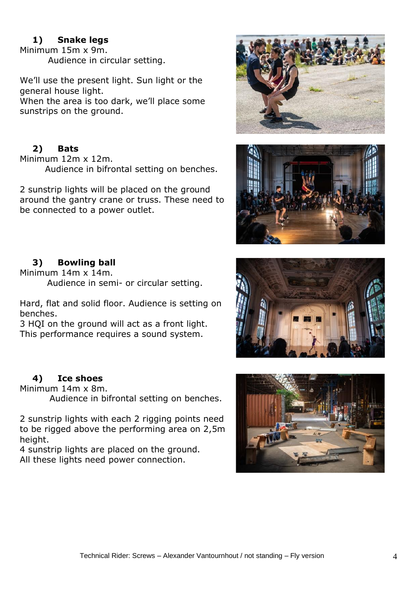#### **1) Snake legs**

Minimum 15m x 9m. Audience in circular setting.

We'll use the present light. Sun light or the general house light. When the area is too dark, we'll place some sunstrips on the ground.

#### **2) Bats**

Minimum 12m x 12m. Audience in bifrontal setting on benches.

2 sunstrip lights will be placed on the ground around the gantry crane or truss. These need to be connected to a power outlet.





#### **3) Bowling ball**

Minimum 14m x 14m. Audience in semi- or circular setting.

Hard, flat and solid floor. Audience is setting on benches.

3 HQI on the ground will act as a front light. This performance requires a sound system.

#### **4) Ice shoes**

Minimum 14m x 8m.

Audience in bifrontal setting on benches.

2 sunstrip lights with each 2 rigging points need to be rigged above the performing area on 2,5m height.

4 sunstrip lights are placed on the ground. All these lights need power connection.



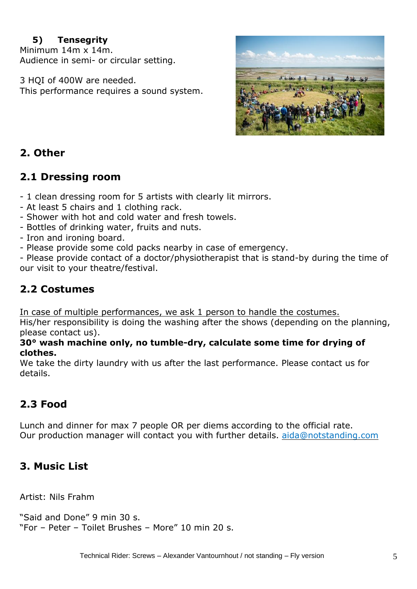#### **5) Tensegrity**

Minimum 14m x 14m. Audience in semi- or circular setting.

3 HQI of 400W are needed. This performance requires a sound system.



## **2. Other**

### **2.1 Dressing room**

- 1 clean dressing room for 5 artists with clearly lit mirrors.

- At least 5 chairs and 1 clothing rack.
- Shower with hot and cold water and fresh towels.
- Bottles of drinking water, fruits and nuts.

- Iron and ironing board.

- Please provide some cold packs nearby in case of emergency.

- Please provide contact of a doctor/physiotherapist that is stand-by during the time of our visit to your theatre/festival.

### **2.2 Costumes**

In case of multiple performances, we ask 1 person to handle the costumes.

His/her responsibility is doing the washing after the shows (depending on the planning, please contact us).

**30° wash machine only, no tumble-dry, calculate some time for drying of clothes.**

We take the dirty laundry with us after the last performance. Please contact us for details.

# **2.3 Food**

Lunch and dinner for max 7 people OR per diems according to the official rate. Our production manager will contact you with further details. [aida@notstanding.com](mailto:aida@notstanding.com)

# **3. Music List**

Artist: Nils Frahm

"Said and Done" 9 min 30 s. "For – Peter – Toilet Brushes – More" 10 min 20 s.